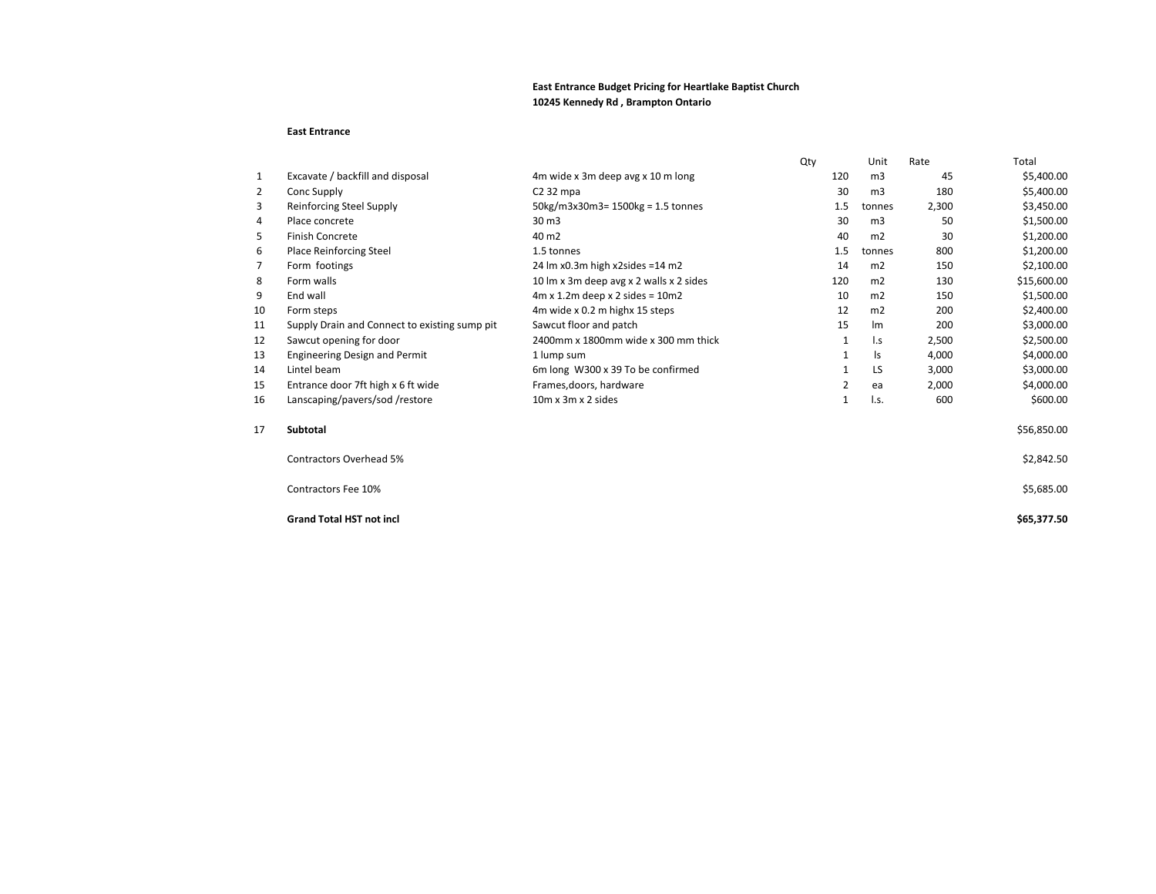## **East Entrance Budget Pricing for Heartlake Baptist Church 10245 Kennedy Rd , Brampton Ontario**

## **East Entrance**

|    |                                               |                                               | Qty |     | Unit           | Rate  | Total       |
|----|-----------------------------------------------|-----------------------------------------------|-----|-----|----------------|-------|-------------|
| 1  | Excavate / backfill and disposal              | 4m wide x 3m deep avg x 10 m long             |     | 120 | m <sub>3</sub> | 45    | \$5,400.00  |
| 2  | Conc Supply                                   | $C2$ 32 mpa                                   |     | 30  | m <sub>3</sub> | 180   | \$5,400.00  |
| 3  | <b>Reinforcing Steel Supply</b>               | 50kg/m3x30m3= 1500kg = 1.5 tonnes             |     | 1.5 | tonnes         | 2,300 | \$3,450.00  |
| 4  | Place concrete                                | 30 <sub>m3</sub>                              |     | 30  | m <sub>3</sub> | 50    | \$1,500.00  |
| 5  | <b>Finish Concrete</b>                        | 40 m <sub>2</sub>                             |     | 40  | m <sub>2</sub> | 30    | \$1,200.00  |
| 6  | <b>Place Reinforcing Steel</b>                | 1.5 tonnes                                    |     | 1.5 | tonnes         | 800   | \$1,200.00  |
| 7  | Form footings                                 | 24 lm x0.3m high x2sides = 14 m2              |     | 14  | m <sub>2</sub> | 150   | \$2,100.00  |
| 8  | Form walls                                    | 10 lm x 3m deep avg x 2 walls x 2 sides       |     | 120 | m <sub>2</sub> | 130   | \$15,600.00 |
| 9  | End wall                                      | $4m \times 1.2m$ deep $\times 2$ sides = 10m2 |     | 10  | m2             | 150   | \$1,500.00  |
| 10 | Form steps                                    | 4m wide x 0.2 m highx 15 steps                |     | 12  | m2             | 200   | \$2,400.00  |
| 11 | Supply Drain and Connect to existing sump pit | Sawcut floor and patch                        |     | 15  | Im             | 200   | \$3,000.00  |
| 12 | Sawcut opening for door                       | 2400mm x 1800mm wide x 300 mm thick           |     | 1   | $\mathsf{L}$   | 2,500 | \$2,500.00  |
| 13 | Engineering Design and Permit                 | 1 lump sum                                    |     | 1   | ls             | 4,000 | \$4,000.00  |
| 14 | Lintel beam                                   | 6m long W300 x 39 To be confirmed             |     | 1   | LS             | 3,000 | \$3,000.00  |
| 15 | Entrance door 7ft high x 6 ft wide            | Frames, doors, hardware                       |     | 2   | ea             | 2,000 | \$4,000.00  |
| 16 | Lanscaping/pavers/sod/restore                 | $10m \times 3m \times 2$ sides                |     | 1   | I.s.           | 600   | \$600.00    |
| 17 | <b>Subtotal</b>                               |                                               |     |     |                |       | \$56,850.00 |
|    | <b>Contractors Overhead 5%</b>                |                                               |     |     |                |       | \$2,842.50  |
|    | Contractors Fee 10%                           |                                               |     |     |                |       | \$5,685.00  |
|    | <b>Grand Total HST not incl</b>               |                                               |     |     |                |       | \$65,377.50 |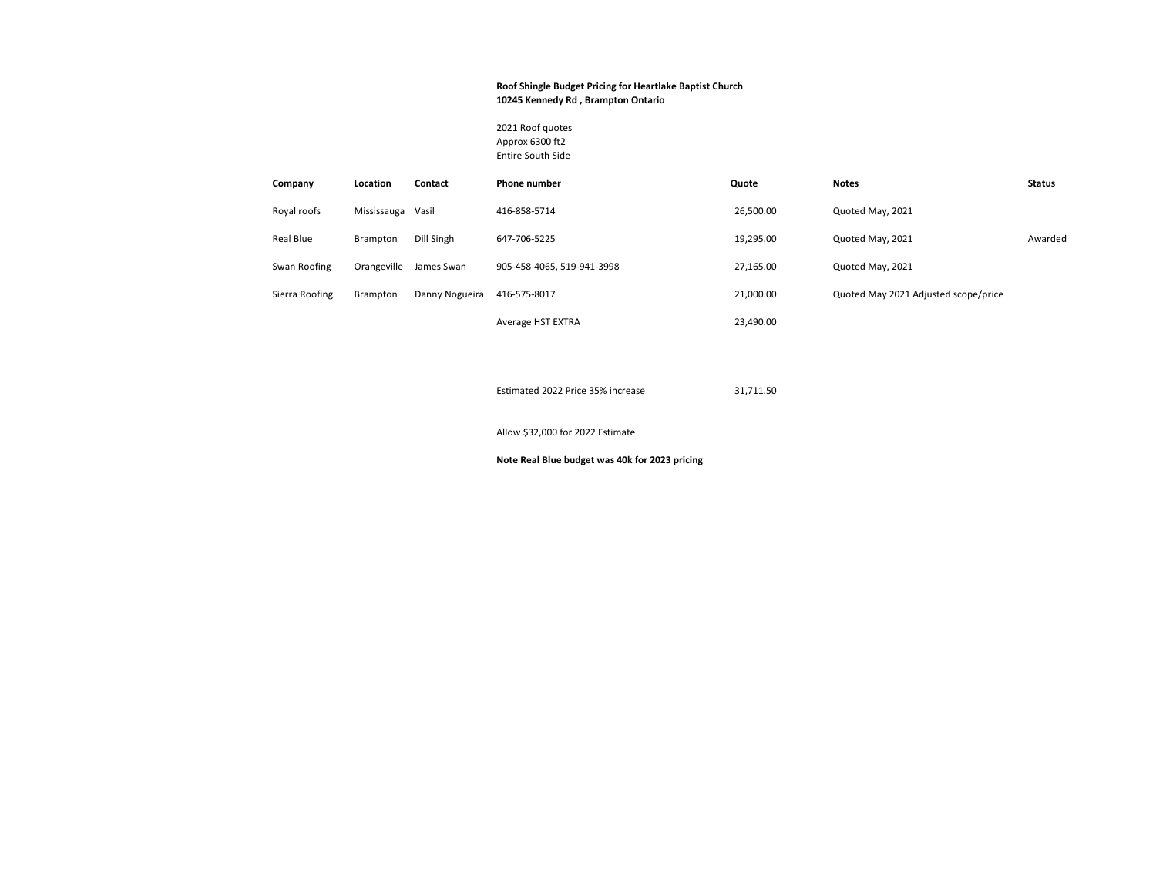## **Roof Shingle Budget Pricing for Heartlake Baptist Church 10245 Kennedy Rd , Brampton Ontario**

2021 Roof quotes Approx 6300 ft2 Entire South Side

| Company        | Location          | Contact        | <b>Phone number</b>        | Quote     | <b>Notes</b>                         | <b>Status</b> |
|----------------|-------------------|----------------|----------------------------|-----------|--------------------------------------|---------------|
| Royal roofs    | Mississauga Vasil |                | 416-858-5714               | 26,500.00 | Quoted May, 2021                     |               |
| Real Blue      | Brampton          | Dill Singh     | 647-706-5225               | 19,295.00 | Quoted May, 2021                     | Awarded       |
| Swan Roofing   | Orangeville       | James Swan     | 905-458-4065, 519-941-3998 | 27.165.00 | Quoted May, 2021                     |               |
| Sierra Roofing | Brampton          | Danny Nogueira | 416-575-8017               | 21.000.00 | Quoted May 2021 Adjusted scope/price |               |
|                |                   |                | Average HST EXTRA          | 23,490.00 |                                      |               |

Estimated 2022 Price 35% increase 31,711.50

Allow \$32,000 for 2022 Estimate

**Note Real Blue budget was 40k for 2023 pricing**